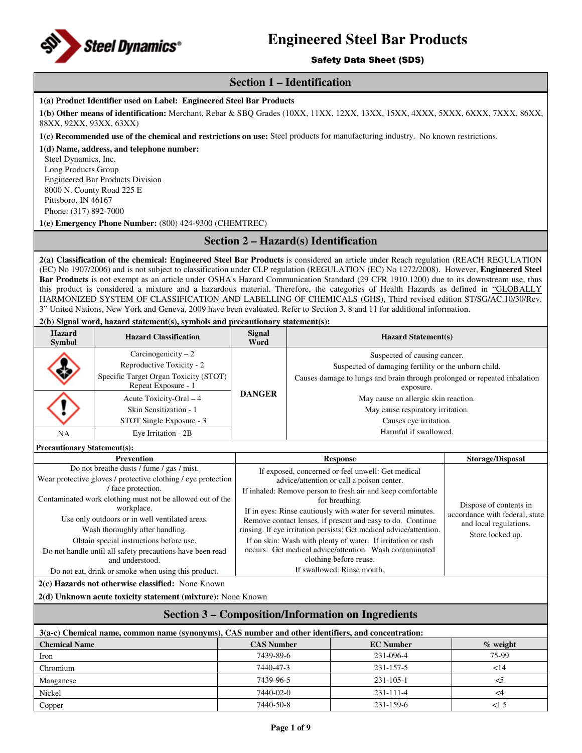

## Safety Data Sheet (SDS)

# **Section 1 – Identification**

## **1(a) Product Identifier used on Label: Engineered Steel Bar Products**

**1(b) Other means of identification:** Merchant, Rebar & SBQ Grades (10XX, 11XX, 12XX, 13XX, 15XX, 4XXX, 5XXX, 6XXX, 7XXX, 86XX, 88XX, 92XX, 93XX, 63XX)

**1(c) Recommended use of the chemical and restrictions on use:** Steel products for manufacturing industry. No known restrictions.

**1(d) Name, address, and telephone number:**  Steel Dynamics, Inc. Long Products Group Engineered Bar Products Division 8000 N. County Road 225 E Pittsboro, IN 46167 Phone: (317) 892-7000

**1(e) Emergency Phone Number:** (800) 424-9300 (CHEMTREC)

# **Section 2 – Hazard(s) Identification**

**2(a) Classification of the chemical: Engineered Steel Bar Products** is considered an article under Reach regulation (REACH REGULATION (EC) No 1907/2006) and is not subject to classification under CLP regulation (REGULATION (EC) No 1272/2008). However, **Engineered Steel Bar Products** is not exempt as an article under OSHA's Hazard Communication Standard (29 CFR 1910.1200) due to its downstream use, thus this product is considered a mixture and a hazardous material. Therefore, the categories of Health Hazards as defined in "GLOBALLY HARMONIZED SYSTEM OF CLASSIFICATION AND LABELLING OF CHEMICALS (GHS), Third revised edition ST/SG/AC.10/30/Rev. 3" United Nations, New York and Geneva, 2009 have been evaluated. Refer to Section 3, 8 and 11 for additional information.

**2(b) Signal word, hazard statement(s), symbols and precautionary statement(s):** 

| <b>Hazard</b><br><b>Symbol</b> | <b>Hazard Classification</b>                                                                                      | <b>Signal</b><br>Word | <b>Hazard Statement(s)</b>                                                                                                                                                     |
|--------------------------------|-------------------------------------------------------------------------------------------------------------------|-----------------------|--------------------------------------------------------------------------------------------------------------------------------------------------------------------------------|
| 态                              | Carcinogenicity $-2$<br>Reproductive Toxicity - 2<br>Specific Target Organ Toxicity (STOT)<br>Repeat Exposure - 1 |                       | Suspected of causing cancer.<br>Suspected of damaging fertility or the unborn child.<br>Causes damage to lungs and brain through prolonged or repeated inhalation<br>exposure. |
|                                | Acute Toxicity-Oral - 4<br>Skin Sensitization - 1<br>STOT Single Exposure - 3                                     | <b>DANGER</b>         | May cause an allergic skin reaction.<br>May cause respiratory irritation.<br>Causes eye irritation.                                                                            |
| NA                             | Eye Irritation - 2B                                                                                               |                       | Harmful if swallowed.                                                                                                                                                          |

**Precautionary Statement(s):**

| Prevention                                                                                                                                                                                                                                                                                                                                                                                                                                                                       | <b>Response</b>                                                                                                                                                                                                                                                                                                                                                                                                                                                                                                                                                        | <b>Storage/Disposal</b>                                                                                |  |  |
|----------------------------------------------------------------------------------------------------------------------------------------------------------------------------------------------------------------------------------------------------------------------------------------------------------------------------------------------------------------------------------------------------------------------------------------------------------------------------------|------------------------------------------------------------------------------------------------------------------------------------------------------------------------------------------------------------------------------------------------------------------------------------------------------------------------------------------------------------------------------------------------------------------------------------------------------------------------------------------------------------------------------------------------------------------------|--------------------------------------------------------------------------------------------------------|--|--|
| Do not breathe dusts / fume / gas / mist.<br>Wear protective gloves / protective clothing / eye protection<br>face protection.<br>Contaminated work clothing must not be allowed out of the<br>workplace.<br>Use only outdoors or in well ventilated areas.<br>Wash thoroughly after handling.<br>Obtain special instructions before use.<br>Do not handle until all safety precautions have been read<br>and understood.<br>Do not eat, drink or smoke when using this product. | If exposed, concerned or feel unwell: Get medical<br>advice/attention or call a poison center.<br>If inhaled: Remove person to fresh air and keep comfortable<br>for breathing.<br>If in eyes: Rinse cautiously with water for several minutes.<br>Remove contact lenses, if present and easy to do. Continue<br>rinsing. If eye irritation persists: Get medical advice/attention.<br>If on skin: Wash with plenty of water. If irritation or rash<br>occurs: Get medical advice/attention. Wash contaminated<br>clothing before reuse.<br>If swallowed: Rinse mouth. | Dispose of contents in<br>accordance with federal, state<br>and local regulations.<br>Store locked up. |  |  |
| $2(c)$ Hazards not otherwise classified: None Known                                                                                                                                                                                                                                                                                                                                                                                                                              |                                                                                                                                                                                                                                                                                                                                                                                                                                                                                                                                                                        |                                                                                                        |  |  |

**2(d) Unknown acute toxicity statement (mixture):** None Known

# **Section 3 – Composition/Information on Ingredients**

| 3(a-c) Chemical name, common name (synonyms), CAS number and other identifiers, and concentration: |                   |                  |             |  |
|----------------------------------------------------------------------------------------------------|-------------------|------------------|-------------|--|
| <b>Chemical Name</b>                                                                               | <b>CAS Number</b> | <b>EC</b> Number | $\%$ weight |  |
| Iron                                                                                               | 7439-89-6         | 231-096-4        | 75-99       |  |
| Chromium                                                                                           | 7440-47-3         | 231-157-5        | <14         |  |
| Manganese                                                                                          | 7439-96-5         | 231-105-1        | <5          |  |
| Nickel                                                                                             | 7440-02-0         | $231 - 111 - 4$  | $\leq$ 4    |  |
| Copper                                                                                             | 7440-50-8         | 231-159-6        | ${<}1.5$    |  |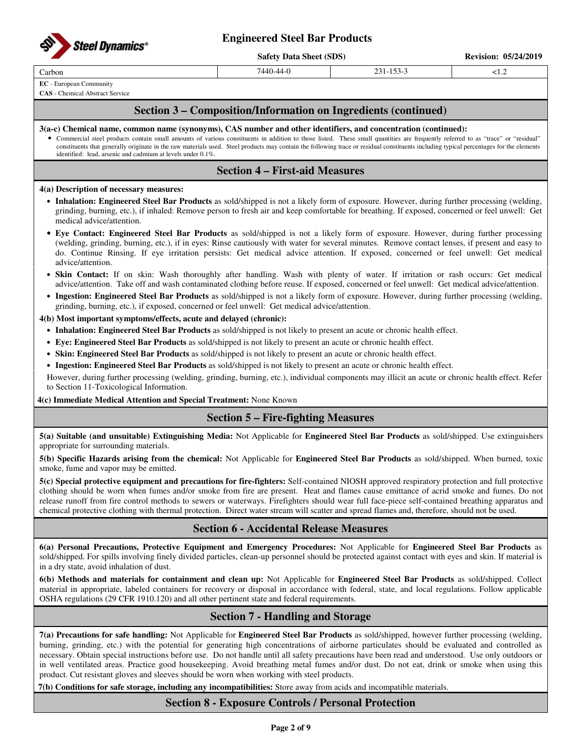

| <b>Safety Data Sheet (SDS)</b> |  |  |
|--------------------------------|--|--|
|                                |  |  |

**Revision: 05/24/2019** 

Carbon 7440-44-0 231-153-3 <1.2

**EC** - European Community

**CAS** - Chemical Abstract Service

# **Section 3 – Composition/Information on Ingredients (continued)**

## **3(a-c) Chemical name, common name (synonyms), CAS number and other identifiers, and concentration (continued):**

• Commercial steel products contain small amounts of various constituents in addition to those listed. These small quantities are frequently referred to as "trace" or "residual" constituents that generally originate in the raw materials used. Steel products may contain the following trace or residual constituents including typical percentages for the elements identified: lead, arsenic and cadmium at levels under 0.1%.

# **Section 4 – First-aid Measures**

## **4(a) Description of necessary measures:**

- **Inhalation: Engineered Steel Bar Products** as sold/shipped is not a likely form of exposure. However, during further processing (welding, grinding, burning, etc.), if inhaled: Remove person to fresh air and keep comfortable for breathing. If exposed, concerned or feel unwell: Get medical advice/attention.
- **Eye Contact: Engineered Steel Bar Products** as sold/shipped is not a likely form of exposure. However, during further processing (welding, grinding, burning, etc.), if in eyes: Rinse cautiously with water for several minutes. Remove contact lenses, if present and easy to do. Continue Rinsing. If eye irritation persists: Get medical advice attention. If exposed, concerned or feel unwell: Get medical advice/attention.
- **Skin Contact:** If on skin: Wash thoroughly after handling. Wash with plenty of water. If irritation or rash occurs: Get medical advice/attention. Take off and wash contaminated clothing before reuse. If exposed, concerned or feel unwell: Get medical advice/attention.
- **Ingestion: Engineered Steel Bar Products** as sold/shipped is not a likely form of exposure. However, during further processing (welding, grinding, burning, etc.), if exposed, concerned or feel unwell: Get medical advice/attention.

## **4(b) Most important symptoms/effects, acute and delayed (chronic):**

- **Inhalation: Engineered Steel Bar Products** as sold/shipped is not likely to present an acute or chronic health effect.
- **Eye: Engineered Steel Bar Products** as sold/shipped is not likely to present an acute or chronic health effect.
- **Skin: Engineered Steel Bar Products** as sold/shipped is not likely to present an acute or chronic health effect.
- **Ingestion: Engineered Steel Bar Products** as sold/shipped is not likely to present an acute or chronic health effect.

However, during further processing (welding, grinding, burning, etc.), individual components may illicit an acute or chronic health effect. Refer to Section 11-Toxicological Information.

## **4(c) Immediate Medical Attention and Special Treatment:** None Known

# **Section 5 – Fire-fighting Measures**

**5(a) Suitable (and unsuitable) Extinguishing Media:** Not Applicable for **Engineered Steel Bar Products** as sold/shipped. Use extinguishers appropriate for surrounding materials.

**5(b) Specific Hazards arising from the chemical:** Not Applicable for **Engineered Steel Bar Products** as sold/shipped. When burned, toxic smoke, fume and vapor may be emitted.

**5(c) Special protective equipment and precautions for fire-fighters:** Self-contained NIOSH approved respiratory protection and full protective clothing should be worn when fumes and/or smoke from fire are present. Heat and flames cause emittance of acrid smoke and fumes. Do not release runoff from fire control methods to sewers or waterways. Firefighters should wear full face-piece self-contained breathing apparatus and chemical protective clothing with thermal protection. Direct water stream will scatter and spread flames and, therefore, should not be used.

# **Section 6 - Accidental Release Measures**

**6(a) Personal Precautions, Protective Equipment and Emergency Procedures:** Not Applicable for **Engineered Steel Bar Products** as sold/shipped. For spills involving finely divided particles, clean-up personnel should be protected against contact with eyes and skin. If material is in a dry state, avoid inhalation of dust.

**6(b) Methods and materials for containment and clean up:** Not Applicable for **Engineered Steel Bar Products** as sold/shipped. Collect material in appropriate, labeled containers for recovery or disposal in accordance with federal, state, and local regulations. Follow applicable OSHA regulations (29 CFR 1910.120) and all other pertinent state and federal requirements.

# **Section 7 - Handling and Storage**

**7(a) Precautions for safe handling:** Not Applicable for **Engineered Steel Bar Products** as sold/shipped, however further processing (welding, burning, grinding, etc.) with the potential for generating high concentrations of airborne particulates should be evaluated and controlled as necessary. Obtain special instructions before use. Do not handle until all safety precautions have been read and understood. Use only outdoors or in well ventilated areas. Practice good housekeeping. Avoid breathing metal fumes and/or dust. Do not eat, drink or smoke when using this product. Cut resistant gloves and sleeves should be worn when working with steel products.

**7(b) Conditions for safe storage, including any incompatibilities:** Store away from acids and incompatible materials.

# **Section 8 - Exposure Controls / Personal Protection**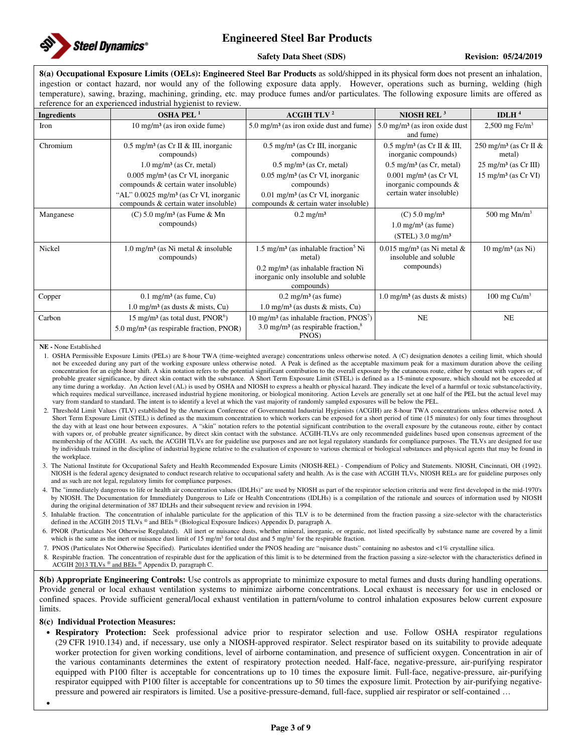

## **Safety Data Sheet (SDS)** Revision: 05/24/2019

**8(a) Occupational Exposure Limits (OELs): Engineered Steel Bar Products** as sold/shipped in its physical form does not present an inhalation, ingestion or contact hazard, nor would any of the following exposure data apply. However, operations such as burning, welding (high temperature), sawing, brazing, machining, grinding, etc. may produce fumes and/or particulates. The following exposure limits are offered as reference for an experienced industrial hygienist to review.

|                    | reference for an experienced muastrial hygiemst to review.                                   |                                                                                                      |                                                                   |                                             |
|--------------------|----------------------------------------------------------------------------------------------|------------------------------------------------------------------------------------------------------|-------------------------------------------------------------------|---------------------------------------------|
| <b>Ingredients</b> | OSHA PEL $1$                                                                                 | ACGIH TLV <sup>2</sup>                                                                               | NIOSH REL $3$                                                     | IDLH $4$                                    |
| Iron               | $10 \text{ mg/m}^3$ (as iron oxide fume)                                                     | $5.0 \text{ mg/m}^3$ (as iron oxide dust and fume)                                                   | $5.0 \text{ mg/m}^3$ (as iron oxide dust<br>and fume)             | 2,500 mg Fe/m <sup>3</sup>                  |
| Chromium           | $0.5 \text{ mg/m}^3$ (as Cr II & III, inorganic<br>compounds)                                | $0.5 \text{ mg/m}^3$ (as Cr III, inorganic<br>compounds)                                             | $0.5$ mg/m <sup>3</sup> (as Cr II & III,<br>inorganic compounds)  | 250 mg/m <sup>3</sup> (as Cr II &<br>metal) |
|                    | $1.0 \text{ mg/m}^3$ (as Cr, metal)                                                          | $0.5 \text{ mg/m}^3$ (as Cr, metal)                                                                  | $0.5 \text{ mg/m}^3$ (as Cr, metal)                               | $25 \text{ mg/m}^3$ (as Cr III)             |
|                    | $0.005$ mg/m <sup>3</sup> (as Cr VI, inorganic<br>compounds & certain water insoluble)       | $0.05$ mg/m <sup>3</sup> (as Cr VI, inorganic<br>compounds)                                          | $0.001$ mg/m <sup>3</sup> (as Cr VI,<br>inorganic compounds &     | $15 \text{ mg/m}^3$ (as Cr VI)              |
|                    | "AL" $0.0025$ mg/m <sup>3</sup> (as Cr VI, inorganic<br>compounds & certain water insoluble) | $0.01$ mg/m <sup>3</sup> (as Cr VI, inorganic<br>compounds & certain water insoluble)                | certain water insoluble)                                          |                                             |
| Manganese          | $(C)$ 5.0 mg/m <sup>3</sup> (as Fume & Mn                                                    | $0.2 \text{ mg/m}^3$                                                                                 | $(C) 5.0$ mg/m <sup>3</sup>                                       | 500 mg $Mn/m3$                              |
|                    | compounds)                                                                                   |                                                                                                      | $1.0 \text{ mg/m}^3$ (as fume)                                    |                                             |
|                    |                                                                                              |                                                                                                      | $(STEL)$ 3.0 mg/m <sup>3</sup>                                    |                                             |
| Nickel             | $1.0 \text{ mg/m}^3$ (as Ni metal & insoluble<br>compounds)                                  | $1.5 \text{ mg/m}^3$ (as inhalable fraction <sup>5</sup> Ni<br>metal)                                | $0.015$ mg/m <sup>3</sup> (as Ni metal &<br>insoluble and soluble | $10 \text{ mg/m}^3$ (as Ni)                 |
|                    |                                                                                              | $0.2 \text{ mg/m}^3$ (as inhalable fraction Ni<br>inorganic only insoluble and soluble<br>compounds) | compounds)                                                        |                                             |
| Copper             | $0.1 \text{ mg/m}^3$ (as fume, Cu)                                                           | $0.2 \text{ mg/m}^3$ (as fume)                                                                       | $1.0 \text{ mg/m}^3$ (as dusts & mists)                           | 100 mg $Cu/m3$                              |
|                    | $1.0 \text{ mg/m}^3$ (as dusts & mists, Cu)                                                  | $1.0 \text{ mg/m}^3$ (as dusts & mists, Cu)                                                          |                                                                   |                                             |
| Carbon             | 15 mg/m <sup>3</sup> (as total dust, $PNOR6$ )                                               | $10 \text{ mg/m}^3$ (as inhalable fraction, PNOS <sup>7</sup> )                                      | NE                                                                | NE                                          |
|                    | 5.0 mg/m <sup>3</sup> (as respirable fraction, PNOR)                                         | 3.0 mg/m <sup>3</sup> (as respirable fraction, $8$ )<br>PNOS)                                        |                                                                   |                                             |

**NE -** None Established

1. OSHA Permissible Exposure Limits (PELs) are 8-hour TWA (time-weighted average) concentrations unless otherwise noted. A (C) designation denotes a ceiling limit, which should not be exceeded during any part of the working exposure unless otherwise noted. A Peak is defined as the acceptable maximum peak for a maximum duration above the ceiling concentration for an eight-hour shift. A skin notation refers to the potential significant contribution to the overall exposure by the cutaneous route, either by contact with vapors or, of probable greater significance, by direct skin contact with the substance. A Short Term Exposure Limit (STEL) is defined as a 15-minute exposure, which should not be exceeded at any time during a workday. An Action level (AL) is used by OSHA and NIOSH to express a health or physical hazard. They indicate the level of a harmful or toxic substance/activity, which requires medical surveillance, increased industrial hygiene monitoring, or biological monitoring. Action Levels are generally set at one half of the PEL but the actual level may vary from standard to standard. The intent is to identify a level at which the vast majority of randomly sampled exposures will be below the PEL.

- 2. Threshold Limit Values (TLV) established by the American Conference of Governmental Industrial Hygienists (ACGIH) are 8-hour TWA concentrations unless otherwise noted. A Short Term Exposure Limit (STEL) is defined as the maximum concentration to which workers can be exposed for a short period of time (15 minutes) for only four times throughout the day with at least one hour between exposures. A "skin" notation refers to the potential significant contribution to the overall exposure by the cutaneous route, either by contact with vapors or, of probable greater significance, by direct skin contact with the substance. ACGIH-TLVs are only recommended guidelines based upon consensus agreement of the membership of the ACGIH. As such, the ACGIH TLVs are for guideline use purposes and are not legal regulatory standards for compliance purposes. The TLVs are designed for use by individuals trained in the discipline of industrial hygiene relative to the evaluation of exposure to various chemical or biological substances and physical agents that may be found in the workplace.
- 3. The National Institute for Occupational Safety and Health Recommended Exposure Limits (NIOSH-REL) Compendium of Policy and Statements. NIOSH, Cincinnati, OH (1992). NIOSH is the federal agency designated to conduct research relative to occupational safety and health. As is the case with ACGIH TLVs, NIOSH RELs are for guideline purposes only and as such are not legal, regulatory limits for compliance purposes.

4. The "immediately dangerous to life or health air concentration values (IDLHs)" are used by NIOSH as part of the respirator selection criteria and were first developed in the mid-1970's by NIOSH. The Documentation for Immediately Dangerous to Life or Health Concentrations (IDLHs) is a compilation of the rationale and sources of information used by NIOSH during the original determination of 387 IDLHs and their subsequent review and revision in 1994.

5. Inhalable fraction. The concentration of inhalable particulate for the application of this TLV is to be determined from the fraction passing a size-selector with the characteristics defined in the ACGIH 2015 TLVs ® and BEIs ® (Biological Exposure Indices) Appendix D, paragraph A.

6. PNOR (Particulates Not Otherwise Regulated). All inert or nuisance dusts, whether mineral, inorganic, or organic, not listed specifically by substance name are covered by a limit which is the same as the inert or nuisance dust limit of 15 mg/m<sup>3</sup> for total dust and 5 mg/m<sup>3</sup> for the respirable fraction.

- 7. PNOS (Particulates Not Otherwise Specified). Particulates identified under the PNOS heading are "nuisance dusts" containing no asbestos and <1% crystalline silica.
- 8. Respirable fraction. The concentration of respirable dust for the application of this limit is to be determined from the fraction passing a size-selector with the characteristics defined in ACGIH 2013 TLVs ® and BEIs ® Appendix D, paragraph C.

**8(b) Appropriate Engineering Controls:** Use controls as appropriate to minimize exposure to metal fumes and dusts during handling operations. Provide general or local exhaust ventilation systems to minimize airborne concentrations. Local exhaust is necessary for use in enclosed or confined spaces. Provide sufficient general/local exhaust ventilation in pattern/volume to control inhalation exposures below current exposure limits.

## **8(c) Individual Protection Measures:**

•

• **Respiratory Protection:** Seek professional advice prior to respirator selection and use. Follow OSHA respirator regulations (29 CFR 1910.134) and, if necessary, use only a NIOSH-approved respirator. Select respirator based on its suitability to provide adequate worker protection for given working conditions, level of airborne contamination, and presence of sufficient oxygen. Concentration in air of the various contaminants determines the extent of respiratory protection needed. Half-face, negative-pressure, air-purifying respirator equipped with P100 filter is acceptable for concentrations up to 10 times the exposure limit. Full-face, negative-pressure, air-purifying respirator equipped with P100 filter is acceptable for concentrations up to 50 times the exposure limit. Protection by air-purifying negativepressure and powered air respirators is limited. Use a positive-pressure-demand, full-face, supplied air respirator or self-contained …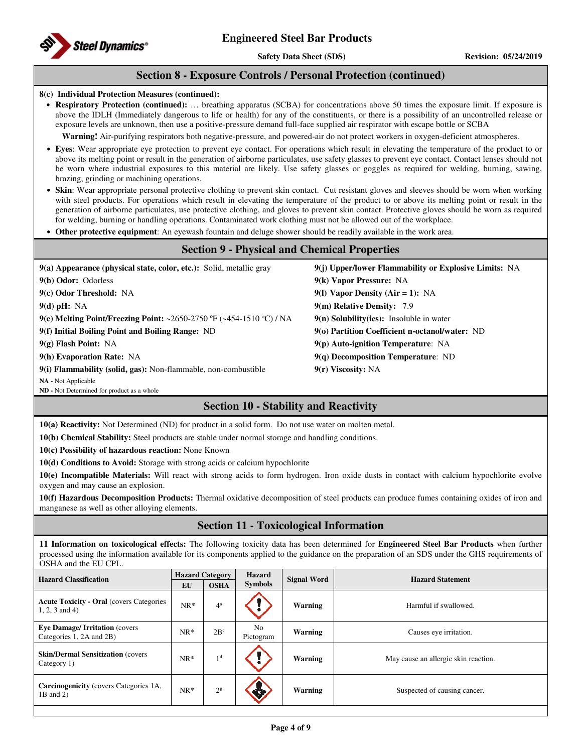

**Safety Data Sheet (SDS)** Revision: 05/24/2019

# **Section 8 - Exposure Controls / Personal Protection (continued)**

## **8(c) Individual Protection Measures (continued):**

• **Respiratory Protection (continued):** … breathing apparatus (SCBA) for concentrations above 50 times the exposure limit. If exposure is above the IDLH (Immediately dangerous to life or health) for any of the constituents, or there is a possibility of an uncontrolled release or exposure levels are unknown, then use a positive-pressure demand full-face supplied air respirator with escape bottle or SCBA

**Warning!** Air-purifying respirators both negative-pressure, and powered-air do not protect workers in oxygen-deficient atmospheres.

- **Eyes**: Wear appropriate eye protection to prevent eye contact. For operations which result in elevating the temperature of the product to or above its melting point or result in the generation of airborne particulates, use safety glasses to prevent eye contact. Contact lenses should not be worn where industrial exposures to this material are likely. Use safety glasses or goggles as required for welding, burning, sawing, brazing, grinding or machining operations.
- **Skin**: Wear appropriate personal protective clothing to prevent skin contact. Cut resistant gloves and sleeves should be worn when working with steel products. For operations which result in elevating the temperature of the product to or above its melting point or result in the generation of airborne particulates, use protective clothing, and gloves to prevent skin contact. Protective gloves should be worn as required for welding, burning or handling operations. Contaminated work clothing must not be allowed out of the workplace.
- **Other protective equipment**: An eyewash fountain and deluge shower should be readily available in the work area.

| <b>Section 9 - Physical and Chemical Properties</b>                  |                                                       |  |  |  |
|----------------------------------------------------------------------|-------------------------------------------------------|--|--|--|
| 9(a) Appearance (physical state, color, etc.): Solid, metallic gray  | 9(j) Upper/lower Flammability or Explosive Limits: NA |  |  |  |
| 9(b) Odor: Odorless                                                  | 9(k) Vapor Pressure: NA                               |  |  |  |
| 9(c) Odor Threshold: NA                                              | 9(1) Vapor Density (Air = 1): NA                      |  |  |  |
| $9(d)$ pH: NA                                                        | 9(m) Relative Density: 7.9                            |  |  |  |
| 9(e) Melting Point/Freezing Point: ~2650-2750 °F (~454-1510 °C) / NA | $9(n)$ Solubility(ies): Insoluble in water            |  |  |  |
| 9(f) Initial Boiling Point and Boiling Range: ND                     | 9(o) Partition Coefficient n-octanol/water: ND        |  |  |  |
| $9(g)$ Flash Point: NA                                               | $9(p)$ Auto-ignition Temperature: NA                  |  |  |  |
| 9(h) Evaporation Rate: NA                                            | $9(q)$ Decomposition Temperature: ND                  |  |  |  |
| 9(i) Flammability (solid, gas): Non-flammable, non-combustible       | 9(r) Viscosity: NA                                    |  |  |  |

**NA -** Not Applicable

**ND -** Not Determined for product as a whole

# **Section 10 - Stability and Reactivity**

**10(a) Reactivity:** Not Determined (ND) for product in a solid form. Do not use water on molten metal.

**10(b) Chemical Stability:** Steel products are stable under normal storage and handling conditions.

**10(c) Possibility of hazardous reaction:** None Known

**10(d) Conditions to Avoid:** Storage with strong acids or calcium hypochlorite

**10(e) Incompatible Materials:** Will react with strong acids to form hydrogen. Iron oxide dusts in contact with calcium hypochlorite evolve oxygen and may cause an explosion.

**10(f) Hazardous Decomposition Products:** Thermal oxidative decomposition of steel products can produce fumes containing oxides of iron and manganese as well as other alloying elements.

# **Section 11 - Toxicological Information**

**11 Information on toxicological effects:** The following toxicity data has been determined for **Engineered Steel Bar Products** when further processed using the information available for its components applied to the guidance on the preparation of an SDS under the GHS requirements of OSHA and the EU CPL.

| <b>Hazard Classification</b>                                         | <b>Hazard Category</b> |                | <b>Hazard</b>               | <b>Signal Word</b> | <b>Hazard Statement</b>              |  |
|----------------------------------------------------------------------|------------------------|----------------|-----------------------------|--------------------|--------------------------------------|--|
|                                                                      | <b>EU</b>              | <b>OSHA</b>    | <b>Symbols</b>              |                    |                                      |  |
| <b>Acute Toxicity - Oral (covers Categories)</b><br>$1, 2, 3$ and 4) | $NR*$                  | $4^a$          |                             | <b>Warning</b>     | Harmful if swallowed.                |  |
| <b>Eve Damage/Irritation (covers)</b><br>Categories 1, 2A and 2B)    | $NR*$                  | $2B^c$         | N <sub>o</sub><br>Pictogram | Warning            | Causes eye irritation.               |  |
| <b>Skin/Dermal Sensitization (covers)</b><br>Category 1)             | $NR*$                  | 1 d            |                             | <b>Warning</b>     | May cause an allergic skin reaction. |  |
| <b>Carcinogenicity</b> (covers Categories 1A,<br>$1B$ and $2)$       | $NR*$                  | 2 <sup>g</sup> | GJ                          | Warning            | Suspected of causing cancer.         |  |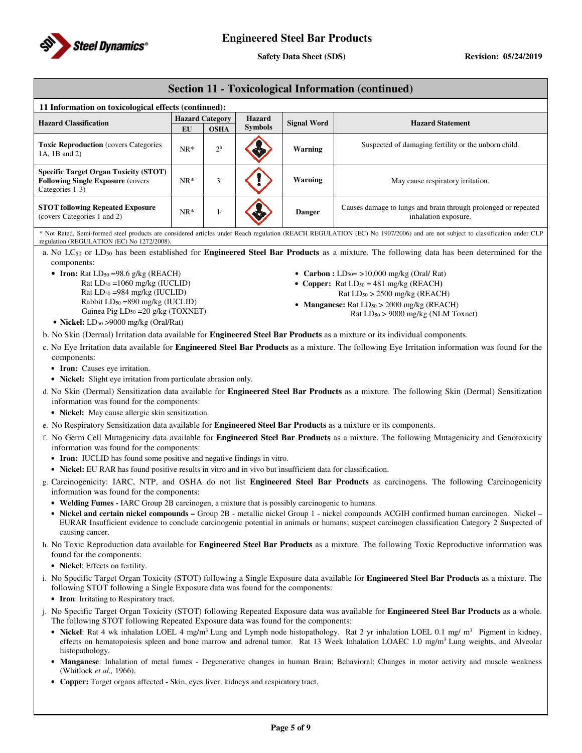

**Safety Data Sheet (SDS)** Revision: 05/24/2019

# **Section 11 - Toxicological Information (continued)**

| 11 Information on toxicological effects (continued):                                                         |                        |                |                |                    |                                                                                        |  |
|--------------------------------------------------------------------------------------------------------------|------------------------|----------------|----------------|--------------------|----------------------------------------------------------------------------------------|--|
| <b>Hazard Classification</b>                                                                                 | <b>Hazard Category</b> |                | <b>Hazard</b>  | <b>Signal Word</b> | <b>Hazard Statement</b>                                                                |  |
|                                                                                                              | EU                     | <b>OSHA</b>    | <b>Symbols</b> |                    |                                                                                        |  |
| <b>Toxic Reproduction</b> (covers Categories<br>1A, 1B and 2)                                                | $NR*$                  | 2 <sup>h</sup> |                | Warning            | Suspected of damaging fertility or the unborn child.                                   |  |
| <b>Specific Target Organ Toxicity (STOT)</b><br><b>Following Single Exposure (covers)</b><br>Categories 1-3) | $NR*$                  | 3 <sup>1</sup> |                | Warning            | May cause respiratory irritation.                                                      |  |
| <b>STOT following Repeated Exposure</b><br>(covers Categories 1 and 2)                                       | $NR*$                  |                |                | <b>Danger</b>      | Causes damage to lungs and brain through prolonged or repeated<br>inhalation exposure. |  |

\* Not Rated, Semi-formed steel products are considered articles under Reach regulation (REACH REGULATION (EC) No 1907/2006) and are not subject to classification under CLP regulation (REGULATION (EC) No 1272/2008).

a. No LC50 or LD50 has been established for **Engineered Steel Bar Products** as a mixture. The following data has been determined for the components:

• **Iron:**  $Rat LD<sub>50</sub> = 98.6 g/kg (REACH)$ Rat LD50 =1060 mg/kg (IUCLID) Rat LD50 =984 mg/kg (IUCLID) Rabbit LD50 =890 mg/kg (IUCLID) Guinea Pig LD50 =20 g/kg (TOXNET)

- **Carbon :**  $LD_{50} = \frac{10,000 \text{ mg/kg}}{10,000 \text{ mg/kg}}$
- **Copper:**  $\text{Rat} \text{LD}_{50} = 481 \text{ mg/kg}$  ( $\text{REACH}$ )
	- Rat LD50 > 2500 mg/kg (REACH)
- **Manganese:** Rat  $LD_{50} > 2000$  mg/kg (REACH) Rat LD50 > 9000 mg/kg (NLM Toxnet)
- **Nickel:** LD<sub>50</sub> >9000 mg/kg (Oral/Rat)
- b. No Skin (Dermal) Irritation data available for **Engineered Steel Bar Products** as a mixture or its individual components.
- c. No Eye Irritation data available for **Engineered Steel Bar Products** as a mixture. The following Eye Irritation information was found for the components:
	- **Iron:** Causes eye irritation.
	- **Nickel:** Slight eye irritation from particulate abrasion only.
- d. No Skin (Dermal) Sensitization data available for **Engineered Steel Bar Products** as a mixture. The following Skin (Dermal) Sensitization information was found for the components:
	- **Nickel:** May cause allergic skin sensitization.
- e. No Respiratory Sensitization data available for **Engineered Steel Bar Products** as a mixture or its components.
- f. No Germ Cell Mutagenicity data available for **Engineered Steel Bar Products** as a mixture. The following Mutagenicity and Genotoxicity information was found for the components:
	- **Iron:** IUCLID has found some positive and negative findings in vitro.
	- **Nickel:** EU RAR has found positive results in vitro and in vivo but insufficient data for classification.
- g. Carcinogenicity: IARC, NTP, and OSHA do not list **Engineered Steel Bar Products** as carcinogens. The following Carcinogenicity information was found for the components:
	- **Welding Fumes -** IARC Group 2B carcinogen, a mixture that is possibly carcinogenic to humans.
	- Nickel and certain nickel compounds Group 2B metallic nickel Group 1 nickel compounds ACGIH confirmed human carcinogen. Nickel -EURAR Insufficient evidence to conclude carcinogenic potential in animals or humans; suspect carcinogen classification Category 2 Suspected of causing cancer.
- h. No Toxic Reproduction data available for **Engineered Steel Bar Products** as a mixture. The following Toxic Reproductive information was found for the components:
	- **Nickel**: Effects on fertility.
- i. No Specific Target Organ Toxicity (STOT) following a Single Exposure data available for **Engineered Steel Bar Products** as a mixture. The following STOT following a Single Exposure data was found for the components:
	- **Iron**: Irritating to Respiratory tract.
- j. No Specific Target Organ Toxicity (STOT) following Repeated Exposure data was available for **Engineered Steel Bar Products** as a whole. The following STOT following Repeated Exposure data was found for the components:
	- Nickel: Rat 4 wk inhalation LOEL 4 mg/m<sup>3</sup> Lung and Lymph node histopathology. Rat 2 yr inhalation LOEL 0.1 mg/ m<sup>3</sup> Pigment in kidney, effects on hematopoiesis spleen and bone marrow and adrenal tumor. Rat 13 Week Inhalation LOAEC 1.0 mg/m<sup>3</sup> Lung weights, and Alveolar histopathology.
	- **Manganese**: Inhalation of metal fumes Degenerative changes in human Brain; Behavioral: Changes in motor activity and muscle weakness (Whitlock *et al.,* 1966).
	- **Copper:** Target organs affected **-** Skin, eyes liver, kidneys and respiratory tract.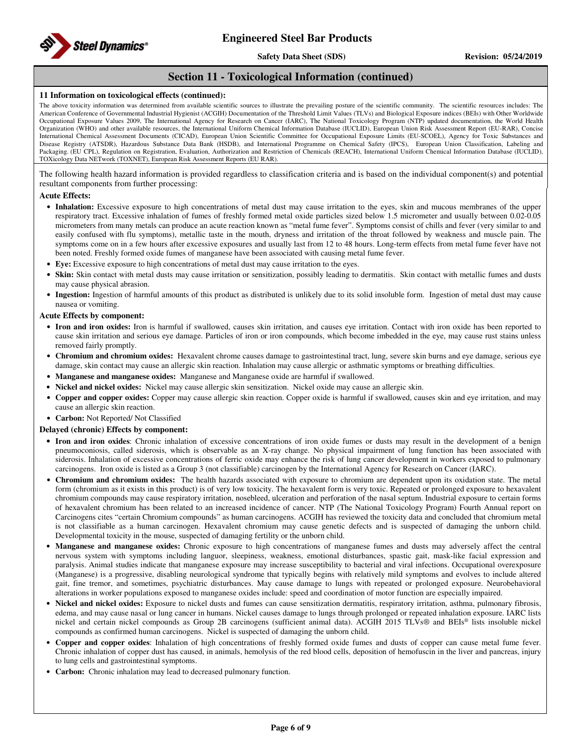

**Safety Data Sheet (SDS)** Revision: 05/24/2019

# **Section 11 - Toxicological Information (continued)**

## **11 Information on toxicological effects (continued):**

The above toxicity information was determined from available scientific sources to illustrate the prevailing posture of the scientific community. The scientific resources includes: The American Conference of Governmental Industrial Hygienist (ACGIH) Documentation of the Threshold Limit Values (TLVs) and Biological Exposure indices (BEIs) with Other Worldwide Occupational Exposure Values 2009, The International Agency for Research on Cancer (IARC), The National Toxicology Program (NTP) updated documentation, the World Health Organization (WHO) and other available resources, the International Uniform Chemical Information Database (IUCLID), European Union Risk Assessment Report (EU-RAR), Concise International Chemical Assessment Documents (CICAD), European Union Scientific Committee for Occupational Exposure Limits (EU-SCOEL), Agency for Toxic Substances and Disease Registry (ATSDR), Hazardous Substance Data Bank (HSDB), and International Programme on Chemical Safety (IPCS), European Union Classification, Labeling and Packaging. (EU CPL), Regulation on Registration, Evaluation, Authorization and Restriction of Chemicals (REACH), International Uniform Chemical Information Database (IUCLID), TOXicology Data NETwork (TOXNET), European Risk Assessment Reports (EU RAR).

The following health hazard information is provided regardless to classification criteria and is based on the individual component(s) and potential resultant components from further processing:

## **Acute Effects:**

- **Inhalation:** Excessive exposure to high concentrations of metal dust may cause irritation to the eyes, skin and mucous membranes of the upper respiratory tract. Excessive inhalation of fumes of freshly formed metal oxide particles sized below 1.5 micrometer and usually between 0.02-0.05 micrometers from many metals can produce an acute reaction known as "metal fume fever". Symptoms consist of chills and fever (very similar to and easily confused with flu symptoms), metallic taste in the mouth, dryness and irritation of the throat followed by weakness and muscle pain. The symptoms come on in a few hours after excessive exposures and usually last from 12 to 48 hours. Long-term effects from metal fume fever have not been noted. Freshly formed oxide fumes of manganese have been associated with causing metal fume fever.
- **Eye:** Excessive exposure to high concentrations of metal dust may cause irritation to the eyes.
- Skin: Skin contact with metal dusts may cause irritation or sensitization, possibly leading to dermatitis. Skin contact with metallic fumes and dusts may cause physical abrasion.
- **Ingestion:** Ingestion of harmful amounts of this product as distributed is unlikely due to its solid insoluble form. Ingestion of metal dust may cause nausea or vomiting.

## **Acute Effects by component:**

- **Iron and iron oxides:** Iron is harmful if swallowed, causes skin irritation, and causes eye irritation. Contact with iron oxide has been reported to cause skin irritation and serious eye damage. Particles of iron or iron compounds, which become imbedded in the eye, may cause rust stains unless removed fairly promptly.
- **Chromium and chromium oxides:** Hexavalent chrome causes damage to gastrointestinal tract, lung, severe skin burns and eye damage, serious eye damage, skin contact may cause an allergic skin reaction. Inhalation may cause allergic or asthmatic symptoms or breathing difficulties.
- **Manganese and manganese oxides:** Manganese and Manganese oxide are harmful if swallowed.
- **Nickel and nickel oxides:** Nickel may cause allergic skin sensitization. Nickel oxide may cause an allergic skin.
- **Copper and copper oxides:** Copper may cause allergic skin reaction. Copper oxide is harmful if swallowed, causes skin and eye irritation, and may cause an allergic skin reaction.
- **Carbon:** Not Reported/ Not Classified

## **Delayed (chronic) Effects by component:**

- **Iron and iron oxides**: Chronic inhalation of excessive concentrations of iron oxide fumes or dusts may result in the development of a benign pneumoconiosis, called siderosis, which is observable as an X-ray change. No physical impairment of lung function has been associated with siderosis. Inhalation of excessive concentrations of ferric oxide may enhance the risk of lung cancer development in workers exposed to pulmonary carcinogens. Iron oxide is listed as a Group 3 (not classifiable) carcinogen by the International Agency for Research on Cancer (IARC).
- **Chromium and chromium oxides:** The health hazards associated with exposure to chromium are dependent upon its oxidation state. The metal form (chromium as it exists in this product) is of very low toxicity. The hexavalent form is very toxic. Repeated or prolonged exposure to hexavalent chromium compounds may cause respiratory irritation, nosebleed, ulceration and perforation of the nasal septum. Industrial exposure to certain forms of hexavalent chromium has been related to an increased incidence of cancer. NTP (The National Toxicology Program) Fourth Annual report on Carcinogens cites "certain Chromium compounds" as human carcinogens. ACGIH has reviewed the toxicity data and concluded that chromium metal is not classifiable as a human carcinogen. Hexavalent chromium may cause genetic defects and is suspected of damaging the unborn child. Developmental toxicity in the mouse, suspected of damaging fertility or the unborn child.
- **Manganese and manganese oxides:** Chronic exposure to high concentrations of manganese fumes and dusts may adversely affect the central nervous system with symptoms including languor, sleepiness, weakness, emotional disturbances, spastic gait, mask-like facial expression and paralysis. Animal studies indicate that manganese exposure may increase susceptibility to bacterial and viral infections. Occupational overexposure (Manganese) is a progressive, disabling neurological syndrome that typically begins with relatively mild symptoms and evolves to include altered gait, fine tremor, and sometimes, psychiatric disturbances. May cause damage to lungs with repeated or prolonged exposure. Neurobehavioral alterations in worker populations exposed to manganese oxides include: speed and coordination of motor function are especially impaired.
- **Nickel and nickel oxides:** Exposure to nickel dusts and fumes can cause sensitization dermatitis, respiratory irritation, asthma, pulmonary fibrosis, edema, and may cause nasal or lung cancer in humans. Nickel causes damage to lungs through prolonged or repeated inhalation exposure. IARC lists nickel and certain nickel compounds as Group 2B carcinogens (sufficient animal data). ACGIH 2015 TLVs® and BEIs® lists insoluble nickel compounds as confirmed human carcinogens. Nickel is suspected of damaging the unborn child.
- **Copper and copper oxides**: Inhalation of high concentrations of freshly formed oxide fumes and dusts of copper can cause metal fume fever. Chronic inhalation of copper dust has caused, in animals, hemolysis of the red blood cells, deposition of hemofuscin in the liver and pancreas, injury to lung cells and gastrointestinal symptoms.
- **Carbon:** Chronic inhalation may lead to decreased pulmonary function.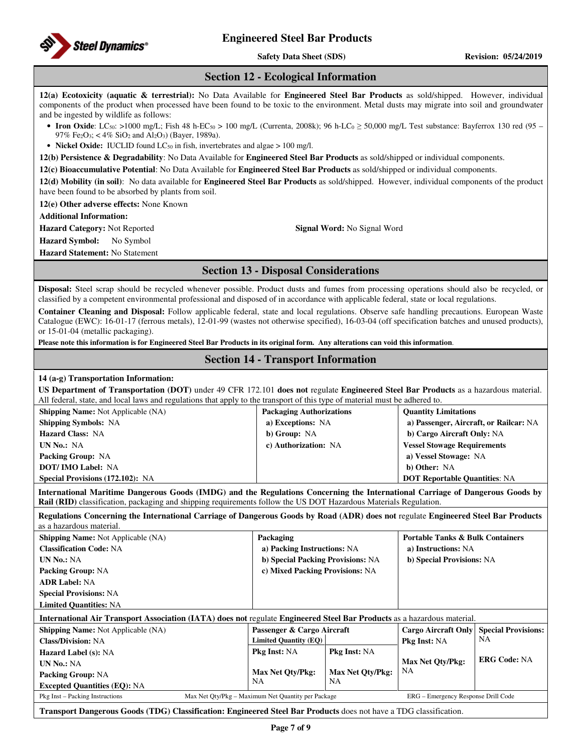

**Safety Data Sheet (SDS)** Revision: 05/24/2019

## **Section 12 - Ecological Information**

**12(a) Ecotoxicity (aquatic & terrestrial):** No Data Available for **Engineered Steel Bar Products** as sold/shipped. However, individual components of the product when processed have been found to be toxic to the environment. Metal dusts may migrate into soil and groundwater and be ingested by wildlife as follows:

- **Iron Oxide**: LC<sub>50</sub>: >1000 mg/L; Fish 48 h-EC<sub>50</sub> > 100 mg/L (Currenta, 2008k); 96 h-LC<sub>0</sub> ≥ 50,000 mg/L Test substance: Bayferrox 130 red (95 97% Fe<sub>2</sub>O<sub>3</sub>; < 4% SiO<sub>2</sub> and Al<sub>2</sub>O<sub>3</sub>) (Bayer, 1989a).
- **Nickel Oxide:** IUCLID found  $LC_{50}$  in fish, invertebrates and algae  $> 100$  mg/l.

**12(b) Persistence & Degradability**: No Data Available for **Engineered Steel Bar Products** as sold/shipped or individual components.

**12(c) Bioaccumulative Potential**: No Data Available for **Engineered Steel Bar Products** as sold/shipped or individual components.

**12(d) Mobility (in soil)**: No data available for **Engineered Steel Bar Products** as sold/shipped. However, individual components of the product have been found to be absorbed by plants from soil.

**12(e) Other adverse effects:** None Known

**Additional Information:** 

**Hazard Category:** Not Reported **Signal Word:** No Signal Word

**Hazard Symbol:** No Symbol

**Hazard Statement:** No Statement

# **Section 13 - Disposal Considerations**

**Disposal:** Steel scrap should be recycled whenever possible. Product dusts and fumes from processing operations should also be recycled, or classified by a competent environmental professional and disposed of in accordance with applicable federal, state or local regulations.

**Container Cleaning and Disposal:** Follow applicable federal, state and local regulations. Observe safe handling precautions. European Waste Catalogue (EWC): 16-01-17 (ferrous metals), 12-01-99 (wastes not otherwise specified), 16-03-04 (off specification batches and unused products), or 15-01-04 (metallic packaging).

**Please note this information is for Engineered Steel Bar Products in its original form. Any alterations can void this information**.

# **Section 14 - Transport Information**

## **14 (a-g) Transportation Information:**

| $\mathbf{R}$ Shinning Name Not Applicable $(\mathbf{N}\Lambda)$                                                                     | Dockaging Authorizations | <b>Cuantity Limitations</b> |  |  |
|-------------------------------------------------------------------------------------------------------------------------------------|--------------------------|-----------------------------|--|--|
| All federal, state, and local laws and regulations that apply to the transport of this type of material must be adhered to.         |                          |                             |  |  |
| US Department of Transportation (DOT) under 49 CFR 172.101 does not regulate Engineered Steel Bar Products as a hazardous material. |                          |                             |  |  |

| $\mu$                            | 1 ackaging Authorizations | <b>VUGHLILY LIHIHUGHUHS</b>            |
|----------------------------------|---------------------------|----------------------------------------|
| <b>Shipping Symbols: NA</b>      | a) Exceptions: NA         | a) Passenger, Aircraft, or Railcar: NA |
| <b>Hazard Class: NA</b>          | b) Group: NA              | b) Cargo Aircraft Only: NA             |
| <b>UN No.: NA</b>                | c) Authorization: NA      | <b>Vessel Stowage Requirements</b>     |
| <b>Packing Group: NA</b>         |                           | a) Vessel Stowage: NA                  |
| <b>DOT/IMO Label: NA</b>         |                           | b) Other: NA                           |
| Special Provisions (172.102): NA |                           | <b>DOT Reportable Quantities: NA</b>   |
|                                  |                           |                                        |

**International Maritime Dangerous Goods (IMDG) and the Regulations Concerning the International Carriage of Dangerous Goods by Rail (RID)** classification, packaging and shipping requirements follow the US DOT Hazardous Materials Regulation.

**Regulations Concerning the International Carriage of Dangerous Goods by Road (ADR) does not** regulate **Engineered Steel Bar Products** as a hazardous material.

| <b>Shipping Name:</b> Not Applicable (NA)                                                                                | Packaging                                          |                                   | <b>Portable Tanks &amp; Bulk Containers</b> |                            |  |
|--------------------------------------------------------------------------------------------------------------------------|----------------------------------------------------|-----------------------------------|---------------------------------------------|----------------------------|--|
| <b>Classification Code: NA</b>                                                                                           | a) Packing Instructions: NA                        |                                   | a) Instructions: NA                         |                            |  |
| <b>UN No.: NA</b>                                                                                                        |                                                    | b) Special Packing Provisions: NA |                                             | b) Special Provisions: NA  |  |
| <b>Packing Group: NA</b>                                                                                                 | c) Mixed Packing Provisions: NA                    |                                   |                                             |                            |  |
| <b>ADR Label: NA</b>                                                                                                     |                                                    |                                   |                                             |                            |  |
| <b>Special Provisions: NA</b>                                                                                            |                                                    |                                   |                                             |                            |  |
| <b>Limited Quantities: NA</b>                                                                                            |                                                    |                                   |                                             |                            |  |
| International Air Transport Association (IATA) does not regulate Engineered Steel Bar Products as a hazardous material.  |                                                    |                                   |                                             |                            |  |
| <b>Shipping Name:</b> Not Applicable (NA)                                                                                | Passenger & Cargo Aircraft                         |                                   | <b>Cargo Aircraft Only</b>                  | <b>Special Provisions:</b> |  |
| <b>Class/Division: NA</b>                                                                                                | <b>Limited Quantity (EQ)</b>                       |                                   |                                             | NA                         |  |
| <b>Hazard Label (s): NA</b>                                                                                              | <b>Pkg Inst: NA</b>                                | <b>Pkg Inst: NA</b>               |                                             |                            |  |
| <b>UN No.: NA</b>                                                                                                        |                                                    |                                   | <b>Max Net Oty/Pkg:</b>                     | <b>ERG Code: NA</b>        |  |
| <b>Packing Group: NA</b>                                                                                                 | <b>Max Net Oty/Pkg:</b>                            | Max Net Oty/Pkg:                  | NA                                          |                            |  |
| <b>Excepted Quantities (EQ): NA</b>                                                                                      | NA                                                 | NA                                |                                             |                            |  |
| Pkg Inst – Packing Instructions                                                                                          | Max Net Oty/Pkg – Maximum Net Quantity per Package |                                   | ERG - Emergency Response Drill Code         |                            |  |
| <b>Transport Dangerous Goods (TDG) Classification: Engineered Steel Bar Products</b> does not have a TDG classification. |                                                    |                                   |                                             |                            |  |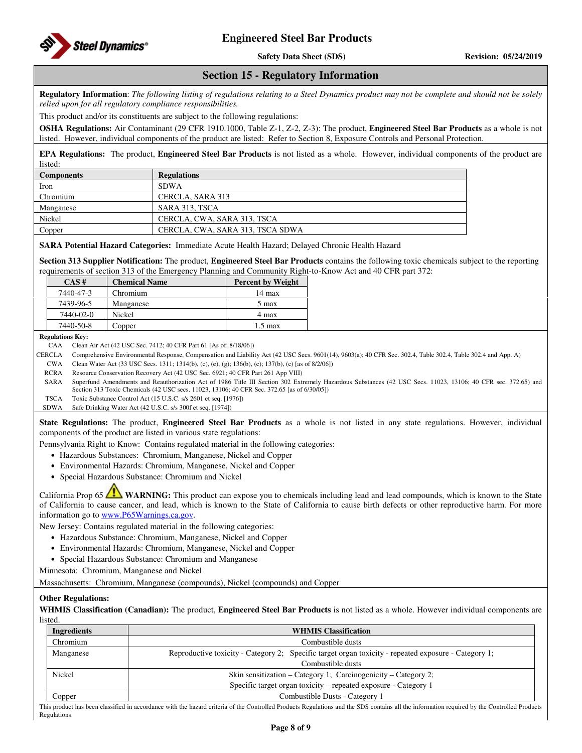

**Safety Data Sheet (SDS)** Revision: 05/24/2019

## **Section 15 - Regulatory Information**

**Regulatory Information**: *The following listing of regulations relating to a Steel Dynamics product may not be complete and should not be solely relied upon for all regulatory compliance responsibilities.* 

This product and/or its constituents are subject to the following regulations:

**OSHA Regulations:** Air Contaminant (29 CFR 1910.1000, Table Z-1, Z-2, Z-3): The product, **Engineered Steel Bar Products** as a whole is not listed. However, individual components of the product are listed: Refer to Section 8, Exposure Controls and Personal Protection.

**EPA Regulations:** The product, **Engineered Steel Bar Products** is not listed as a whole. However, individual components of the product are listed:

| <b>Components</b> | <b>Regulations</b>               |
|-------------------|----------------------------------|
| Iron              | <b>SDWA</b>                      |
| Chromium          | CERCLA, SARA 313                 |
| Manganese         | SARA 313, TSCA                   |
| Nickel            | CERCLA, CWA, SARA 313, TSCA      |
| Copper            | CERCLA, CWA, SARA 313, TSCA SDWA |
|                   |                                  |

**SARA Potential Hazard Categories:** Immediate Acute Health Hazard; Delayed Chronic Health Hazard

**Section 313 Supplier Notification:** The product, **Engineered Steel Bar Products** contains the following toxic chemicals subject to the reporting requirements of section 313 of the Emergency Planning and Community Right-to-Know Act and 40 CFR part 372:

| $CAS \#$  | <b>Chemical Name</b> | <b>Percent by Weight</b> |
|-----------|----------------------|--------------------------|
| 7440-47-3 | Chromium             | $14 \text{ max}$         |
| 7439-96-5 | Manganese            | 5 max                    |
| 7440-02-0 | Nickel               | 4 max                    |
| 7440-50-8 | Copper               | $1.5 \text{ max}$        |

**Regulations Key:** 

CAA Clean Air Act (42 USC Sec. 7412; 40 CFR Part 61 [As of: 8/18/06])

CERCLA Comprehensive Environmental Response, Compensation and Liability Act (42 USC Secs. 9601(14), 9603(a); 40 CFR Sec. 302.4, Table 302.4, Table 302.4 and App. A)

CWA Clean Water Act (33 USC Secs. 1311; 1314(b), (c), (e), (g); 136(b), (c); 137(b), (c) [as of 8/2/06])

RCRA Resource Conservation Recovery Act (42 USC Sec. 6921; 40 CFR Part 261 App VIII)

SARA Superfund Amendments and Reauthorization Act of 1986 Title III Section 302 Extremely Hazardous Substances (42 USC Secs. 11023, 13106; 40 CFR sec. 372.65) and Section 313 Toxic Chemicals (42 USC secs. 11023, 13106; 40 CFR Sec. 372.65 [as of 6/30/05])

TSCA Toxic Substance Control Act (15 U.S.C. s/s 2601 et seq. [1976])

SDWA Safe Drinking Water Act (42 U.S.C. s/s 300f et seq. [1974])

**State Regulations:** The product, **Engineered Steel Bar Products** as a whole is not listed in any state regulations. However, individual components of the product are listed in various state regulations:

Pennsylvania Right to Know: Contains regulated material in the following categories:

- Hazardous Substances: Chromium, Manganese, Nickel and Copper
- Environmental Hazards: Chromium, Manganese, Nickel and Copper
- Special Hazardous Substance: Chromium and Nickel

California Prop 65 **WARNING:** This product can expose you to chemicals including lead and lead compounds, which is known to the State of California to cause cancer, and lead, which is known to the State of California to cause birth defects or other reproductive harm. For more information go to www.P65Warnings.ca.gov.

New Jersey: Contains regulated material in the following categories:

- Hazardous Substance: Chromium, Manganese, Nickel and Copper
- Environmental Hazards: Chromium, Manganese, Nickel and Copper
- Special Hazardous Substance: Chromium and Manganese

Minnesota: Chromium, Manganese and Nickel

Massachusetts: Chromium, Manganese (compounds), Nickel (compounds) and Copper

## **Other Regulations:**

**WHMIS Classification (Canadian):** The product, **Engineered Steel Bar Products** is not listed as a whole. However individual components are listed.

| Ingredients | <b>WHMIS Classification</b>                                                                          |  |
|-------------|------------------------------------------------------------------------------------------------------|--|
| Chromium    | Combustible dusts                                                                                    |  |
| Manganese   | Reproductive toxicity - Category 2; Specific target organ toxicity - repeated exposure - Category 1; |  |
|             | Combustible dusts                                                                                    |  |
| Nickel      | Skin sensitization – Category 1; Carcinogenicity – Category 2;                                       |  |
|             | Specific target organ toxicity – repeated exposure - Category 1                                      |  |
| Copper      | Combustible Dusts - Category 1                                                                       |  |

This product has been classified in accordance with the hazard criteria of the Controlled Products Regulations and the SDS contains all the information required by the Controlled Products Regulations.